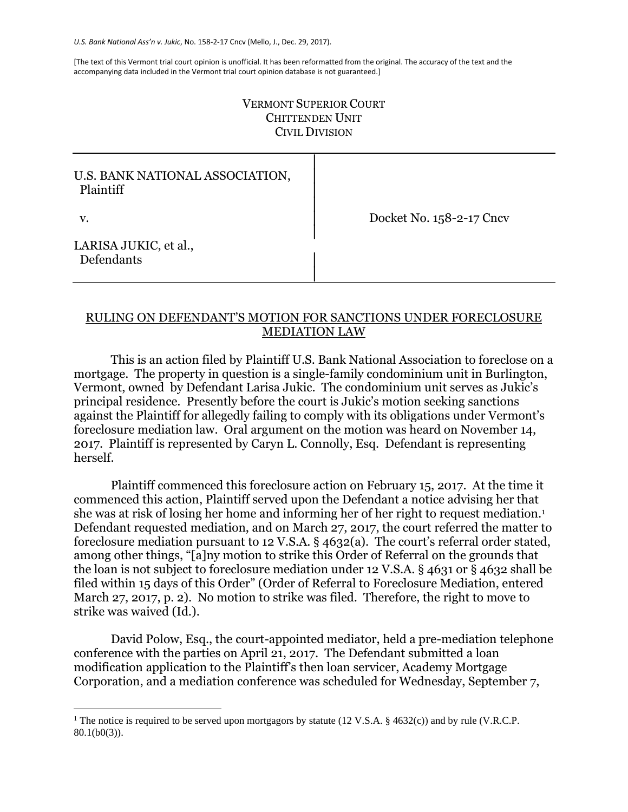[The text of this Vermont trial court opinion is unofficial. It has been reformatted from the original. The accuracy of the text and the accompanying data included in the Vermont trial court opinion database is not guaranteed.]

## VERMONT SUPERIOR COURT CHITTENDEN UNIT CIVIL DIVISION

│

│

│

│

## U.S. BANK NATIONAL ASSOCIATION, Plaintiff

v. │ Docket No. 158-2-17 Cncv

LARISA JUKIC, et al., Defendants

## RULING ON DEFENDANT'S MOTION FOR SANCTIONS UNDER FORECLOSURE MEDIATION LAW

This is an action filed by Plaintiff U.S. Bank National Association to foreclose on a mortgage. The property in question is a single-family condominium unit in Burlington, Vermont, owned by Defendant Larisa Jukic. The condominium unit serves as Jukic's principal residence. Presently before the court is Jukic's motion seeking sanctions against the Plaintiff for allegedly failing to comply with its obligations under Vermont's foreclosure mediation law. Oral argument on the motion was heard on November 14, 2017. Plaintiff is represented by Caryn L. Connolly, Esq. Defendant is representing herself.

Plaintiff commenced this foreclosure action on February 15, 2017. At the time it commenced this action, Plaintiff served upon the Defendant a notice advising her that she was at risk of losing her home and informing her of her right to request mediation.<sup>1</sup> Defendant requested mediation, and on March 27, 2017, the court referred the matter to foreclosure mediation pursuant to 12 V.S.A. § 4632(a). The court's referral order stated, among other things, "[a]ny motion to strike this Order of Referral on the grounds that the loan is not subject to foreclosure mediation under 12 V.S.A. § 4631 or § 4632 shall be filed within 15 days of this Order" (Order of Referral to Foreclosure Mediation, entered March 27, 2017, p. 2). No motion to strike was filed. Therefore, the right to move to strike was waived (Id.).

David Polow, Esq., the court-appointed mediator, held a pre-mediation telephone conference with the parties on April 21, 2017. The Defendant submitted a loan modification application to the Plaintiff's then loan servicer, Academy Mortgage Corporation, and a mediation conference was scheduled for Wednesday, September 7,

<sup>&</sup>lt;sup>1</sup> The notice is required to be served upon mortgagors by statute (12 V.S.A. § 4632(c)) and by rule (V.R.C.P. 80.1(b0(3)).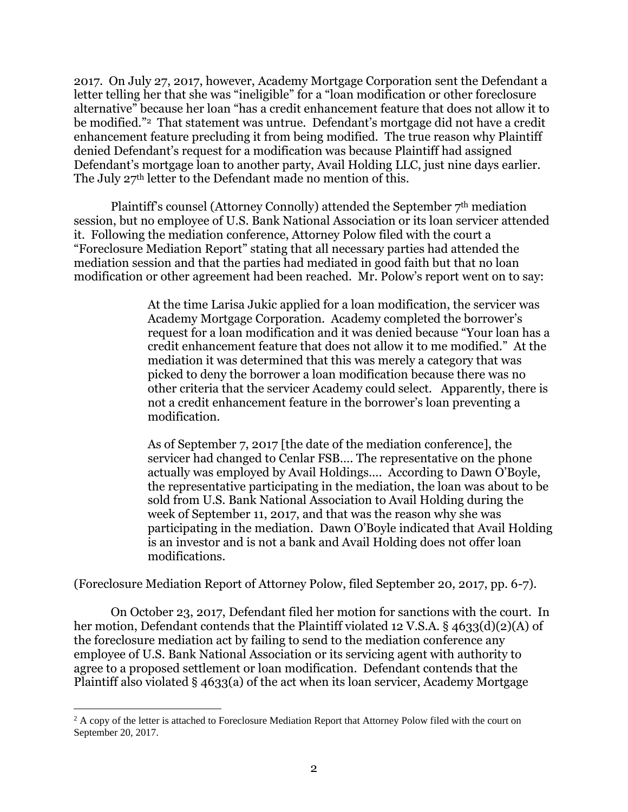2017. On July 27, 2017, however, Academy Mortgage Corporation sent the Defendant a letter telling her that she was "ineligible" for a "loan modification or other foreclosure alternative" because her loan "has a credit enhancement feature that does not allow it to be modified."<sup>2</sup> That statement was untrue. Defendant's mortgage did not have a credit enhancement feature precluding it from being modified. The true reason why Plaintiff denied Defendant's request for a modification was because Plaintiff had assigned Defendant's mortgage loan to another party, Avail Holding LLC, just nine days earlier. The July 27<sup>th</sup> letter to the Defendant made no mention of this.

Plaintiff's counsel (Attorney Connolly) attended the September 7<sup>th</sup> mediation session, but no employee of U.S. Bank National Association or its loan servicer attended it. Following the mediation conference, Attorney Polow filed with the court a "Foreclosure Mediation Report" stating that all necessary parties had attended the mediation session and that the parties had mediated in good faith but that no loan modification or other agreement had been reached. Mr. Polow's report went on to say:

> At the time Larisa Jukic applied for a loan modification, the servicer was Academy Mortgage Corporation. Academy completed the borrower's request for a loan modification and it was denied because "Your loan has a credit enhancement feature that does not allow it to me modified." At the mediation it was determined that this was merely a category that was picked to deny the borrower a loan modification because there was no other criteria that the servicer Academy could select. Apparently, there is not a credit enhancement feature in the borrower's loan preventing a modification.

> As of September 7, 2017 [the date of the mediation conference], the servicer had changed to Cenlar FSB…. The representative on the phone actually was employed by Avail Holdings…. According to Dawn O'Boyle, the representative participating in the mediation, the loan was about to be sold from U.S. Bank National Association to Avail Holding during the week of September 11, 2017, and that was the reason why she was participating in the mediation. Dawn O'Boyle indicated that Avail Holding is an investor and is not a bank and Avail Holding does not offer loan modifications.

(Foreclosure Mediation Report of Attorney Polow, filed September 20, 2017, pp. 6-7).

On October 23, 2017, Defendant filed her motion for sanctions with the court. In her motion, Defendant contends that the Plaintiff violated 12 V.S.A. § 4633(d)(2)(A) of the foreclosure mediation act by failing to send to the mediation conference any employee of U.S. Bank National Association or its servicing agent with authority to agree to a proposed settlement or loan modification. Defendant contends that the Plaintiff also violated § 4633(a) of the act when its loan servicer, Academy Mortgage

<sup>&</sup>lt;sup>2</sup> A copy of the letter is attached to Foreclosure Mediation Report that Attorney Polow filed with the court on September 20, 2017.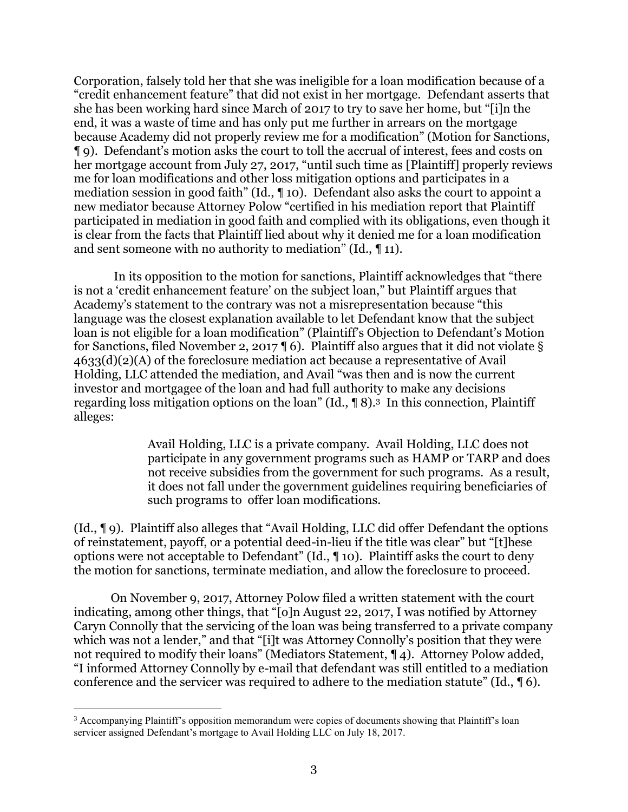Corporation, falsely told her that she was ineligible for a loan modification because of a "credit enhancement feature" that did not exist in her mortgage. Defendant asserts that she has been working hard since March of 2017 to try to save her home, but "[i]n the end, it was a waste of time and has only put me further in arrears on the mortgage because Academy did not properly review me for a modification" (Motion for Sanctions, ¶ 9). Defendant's motion asks the court to toll the accrual of interest, fees and costs on her mortgage account from July 27, 2017, "until such time as [Plaintiff] properly reviews me for loan modifications and other loss mitigation options and participates in a mediation session in good faith" (Id., ¶ 10). Defendant also asks the court to appoint a new mediator because Attorney Polow "certified in his mediation report that Plaintiff participated in mediation in good faith and complied with its obligations, even though it is clear from the facts that Plaintiff lied about why it denied me for a loan modification and sent someone with no authority to mediation" (Id., ¶ 11).

In its opposition to the motion for sanctions, Plaintiff acknowledges that "there is not a 'credit enhancement feature' on the subject loan," but Plaintiff argues that Academy's statement to the contrary was not a misrepresentation because "this language was the closest explanation available to let Defendant know that the subject loan is not eligible for a loan modification" (Plaintiff's Objection to Defendant's Motion for Sanctions, filed November 2, 2017 ¶ 6). Plaintiff also argues that it did not violate § 4633(d)(2)(A) of the foreclosure mediation act because a representative of Avail Holding, LLC attended the mediation, and Avail "was then and is now the current investor and mortgagee of the loan and had full authority to make any decisions regarding loss mitigation options on the loan" (Id., ¶ 8).3 In this connection, Plaintiff alleges:

> Avail Holding, LLC is a private company. Avail Holding, LLC does not participate in any government programs such as HAMP or TARP and does not receive subsidies from the government for such programs. As a result, it does not fall under the government guidelines requiring beneficiaries of such programs to offer loan modifications.

(Id., ¶ 9). Plaintiff also alleges that "Avail Holding, LLC did offer Defendant the options of reinstatement, payoff, or a potential deed-in-lieu if the title was clear" but "[t]hese options were not acceptable to Defendant" (Id., ¶ 10). Plaintiff asks the court to deny the motion for sanctions, terminate mediation, and allow the foreclosure to proceed.

On November 9, 2017, Attorney Polow filed a written statement with the court indicating, among other things, that "[o]n August 22, 2017, I was notified by Attorney Caryn Connolly that the servicing of the loan was being transferred to a private company which was not a lender," and that "[i]t was Attorney Connolly's position that they were not required to modify their loans" (Mediators Statement, ¶ 4). Attorney Polow added, "I informed Attorney Connolly by e-mail that defendant was still entitled to a mediation conference and the servicer was required to adhere to the mediation statute" (Id., ¶ 6).

<sup>3</sup> Accompanying Plaintiff's opposition memorandum were copies of documents showing that Plaintiff's loan servicer assigned Defendant's mortgage to Avail Holding LLC on July 18, 2017.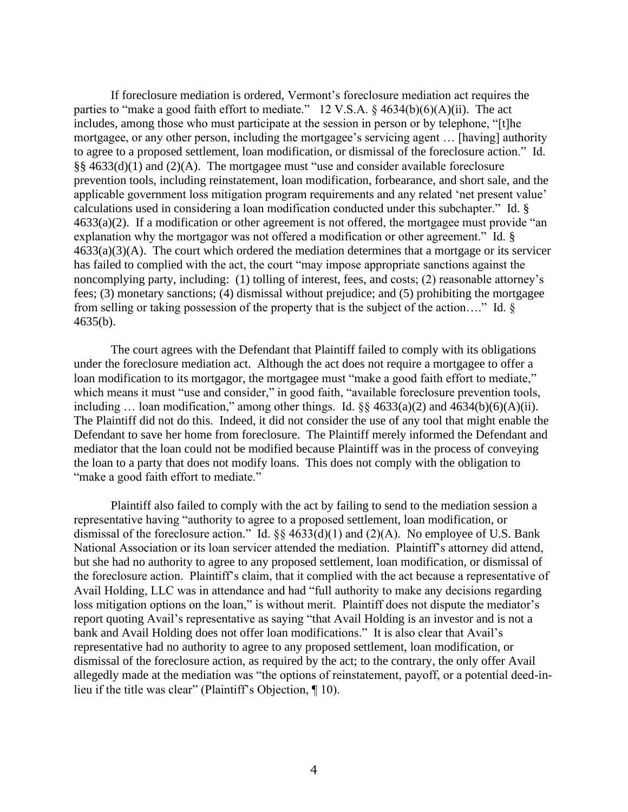If foreclosure mediation is ordered, Vermont's foreclosure mediation act requires the parties to "make a good faith effort to mediate." 12 V.S.A.  $\S$  4634(b)(6)(A)(ii). The act includes, among those who must participate at the session in person or by telephone, "[t]he mortgagee, or any other person, including the mortgagee's servicing agent … [having] authority to agree to a proposed settlement, loan modification, or dismissal of the foreclosure action." Id. §§ 4633(d)(1) and (2)(A). The mortgagee must "use and consider available foreclosure prevention tools, including reinstatement, loan modification, forbearance, and short sale, and the applicable government loss mitigation program requirements and any related 'net present value' calculations used in considering a loan modification conducted under this subchapter." Id. § 4633(a)(2). If a modification or other agreement is not offered, the mortgagee must provide "an explanation why the mortgagor was not offered a modification or other agreement." Id. §  $4633(a)(3)(A)$ . The court which ordered the mediation determines that a mortgage or its servicer has failed to complied with the act, the court "may impose appropriate sanctions against the noncomplying party, including: (1) tolling of interest, fees, and costs; (2) reasonable attorney's fees; (3) monetary sanctions; (4) dismissal without prejudice; and (5) prohibiting the mortgagee from selling or taking possession of the property that is the subject of the action…." Id. § 4635(b).

The court agrees with the Defendant that Plaintiff failed to comply with its obligations under the foreclosure mediation act. Although the act does not require a mortgagee to offer a loan modification to its mortgagor, the mortgagee must "make a good faith effort to mediate," which means it must "use and consider," in good faith, "available foreclosure prevention tools, including ... loan modification," among other things. Id.  $\S$  4633(a)(2) and 4634(b)(6)(A)(ii). The Plaintiff did not do this. Indeed, it did not consider the use of any tool that might enable the Defendant to save her home from foreclosure. The Plaintiff merely informed the Defendant and mediator that the loan could not be modified because Plaintiff was in the process of conveying the loan to a party that does not modify loans. This does not comply with the obligation to "make a good faith effort to mediate."

Plaintiff also failed to comply with the act by failing to send to the mediation session a representative having "authority to agree to a proposed settlement, loan modification, or dismissal of the foreclosure action." Id.  $\S$  4633(d)(1) and (2)(A). No employee of U.S. Bank National Association or its loan servicer attended the mediation. Plaintiff's attorney did attend, but she had no authority to agree to any proposed settlement, loan modification, or dismissal of the foreclosure action. Plaintiff's claim, that it complied with the act because a representative of Avail Holding, LLC was in attendance and had "full authority to make any decisions regarding loss mitigation options on the loan," is without merit. Plaintiff does not dispute the mediator's report quoting Avail's representative as saying "that Avail Holding is an investor and is not a bank and Avail Holding does not offer loan modifications." It is also clear that Avail's representative had no authority to agree to any proposed settlement, loan modification, or dismissal of the foreclosure action, as required by the act; to the contrary, the only offer Avail allegedly made at the mediation was "the options of reinstatement, payoff, or a potential deed-inlieu if the title was clear" (Plaintiff's Objection, ¶ 10).